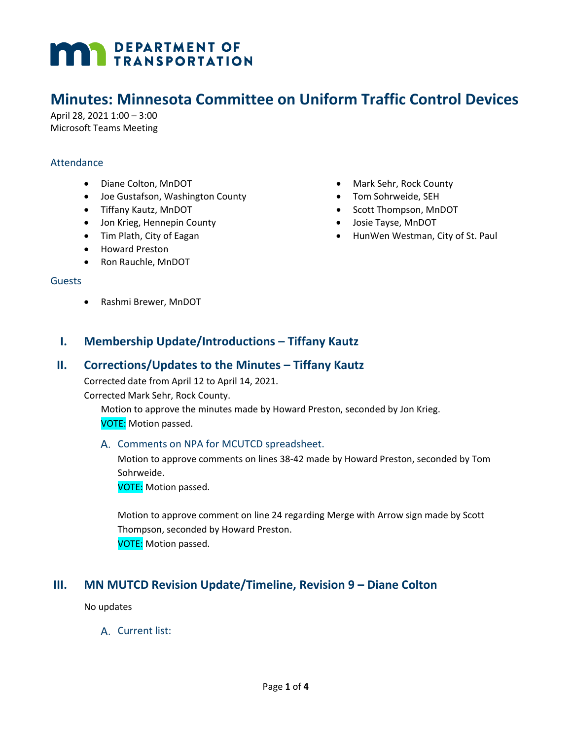# **MAN** DEPARTMENT OF

# **Minutes: Minnesota Committee on Uniform Traffic Control Devices**

April 28, 2021 1:00 – 3:00 Microsoft Teams Meeting

#### **Attendance**

- Diane Colton, MnDOT
- Joe Gustafson, Washington County
- Tiffany Kautz, MnDOT
- Jon Krieg, Hennepin County
- Tim Plath, City of Eagan
- Howard Preston
- Ron Rauchle, MnDOT

#### Guests

• Rashmi Brewer, MnDOT

- Mark Sehr, Rock County
- Tom Sohrweide, SEH
- Scott Thompson, MnDOT
- Josie Tayse, MnDOT
- HunWen Westman, City of St. Paul

## **I. Membership Update/Introductions – Tiffany Kautz**

#### **II. Corrections/Updates to the Minutes – Tiffany Kautz**

Corrected date from April 12 to April 14, 2021.

Corrected Mark Sehr, Rock County.

Motion to approve the minutes made by Howard Preston, seconded by Jon Krieg. VOTE: Motion passed.

#### A. Comments on NPA for MCUTCD spreadsheet.

Motion to approve comments on lines 38-42 made by Howard Preston, seconded by Tom Sohrweide.

VOTE: Motion passed.

Motion to approve comment on line 24 regarding Merge with Arrow sign made by Scott Thompson, seconded by Howard Preston. VOTE: Motion passed.

## **III. MN MUTCD Revision Update/Timeline, Revision 9 – Diane Colton**

No updates

A. Current list: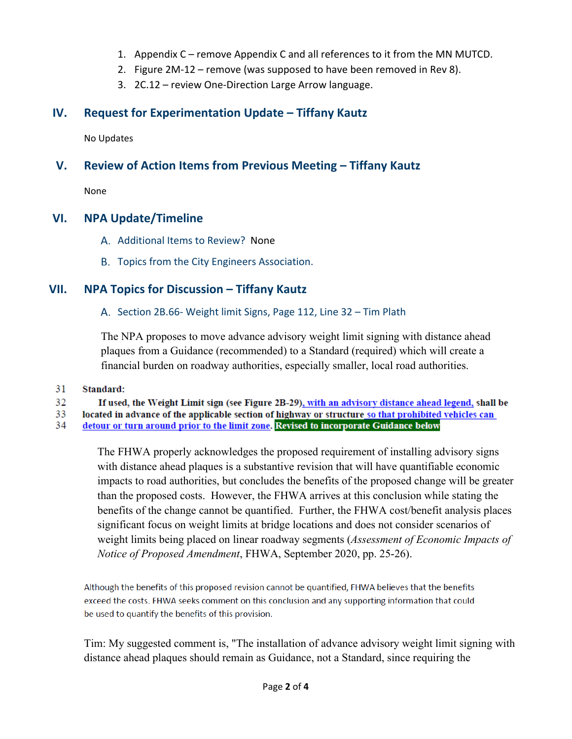- 1. Appendix C remove Appendix C and all references to it from the MN MUTCD.
- 2. Figure 2M-12 remove (was supposed to have been removed in Rev 8).
- 3. 2C.12 review One-Direction Large Arrow language.

# **IV. Request for Experimentation Update – Tiffany Kautz**

No Updates

# **V. Review of Action Items from Previous Meeting – Tiffany Kautz**

None

## **VI. NPA Update/Timeline**

- A. Additional Items to Review? None
- B. Topics from the City Engineers Association.

# **VII. NPA Topics for Discussion – Tiffany Kautz**

#### A. Section 2B.66- Weight limit Signs, Page 112, Line 32 – Tim Plath

The NPA proposes to move advance advisory weight limit signing with distance ahead plaques from a Guidance (recommended) to a Standard (required) which will create a financial burden on roadway authorities, especially smaller, local road authorities.

#### 31 Standard:

32 If used, the Weight Limit sign (see Figure 2B-29), with an advisory distance ahead legend, shall be

33 located in advance of the applicable section of highway or structure so that prohibited vehicles can

detour or turn around prior to the limit zone. Revised to incorporate Guidance below 34

> The FHWA properly acknowledges the proposed requirement of installing advisory signs with distance ahead plaques is a substantive revision that will have quantifiable economic impacts to road authorities, but concludes the benefits of the proposed change will be greater than the proposed costs. However, the FHWA arrives at this conclusion while stating the benefits of the change cannot be quantified. Further, the FHWA cost/benefit analysis places significant focus on weight limits at bridge locations and does not consider scenarios of weight limits being placed on linear roadway segments (*Assessment of Economic Impacts of Notice of Proposed Amendment*, FHWA, September 2020, pp. 25-26).

Although the benefits of this proposed revision cannot be quantified, FHWA believes that the benefits exceed the costs. FHWA seeks comment on this conclusion and any supporting information that could be used to quantify the benefits of this provision.

Tim: My suggested comment is, "The installation of advance advisory weight limit signing with distance ahead plaques should remain as Guidance, not a Standard, since requiring the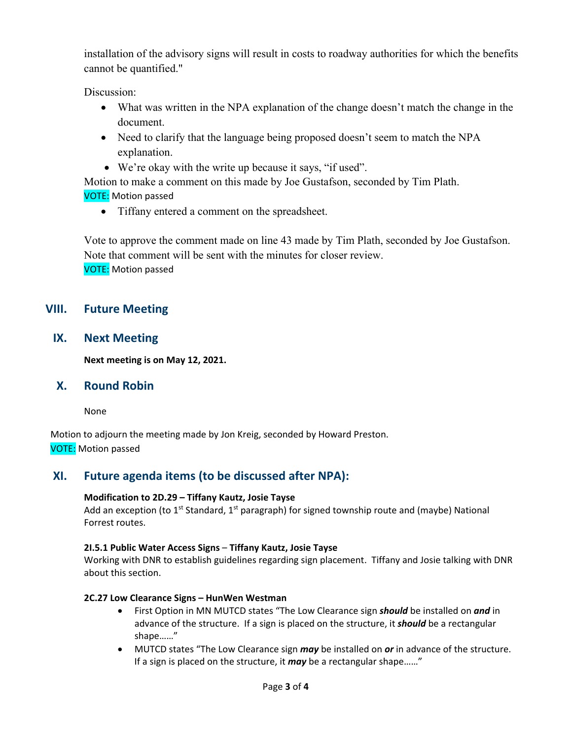installation of the advisory signs will result in costs to roadway authorities for which the benefits cannot be quantified."

Discussion:

- What was written in the NPA explanation of the change doesn't match the change in the document.
- Need to clarify that the language being proposed doesn't seem to match the NPA explanation.
- We're okay with the write up because it says, "if used".

Motion to make a comment on this made by Joe Gustafson, seconded by Tim Plath. VOTE: Motion passed

• Tiffany entered a comment on the spreadsheet.

Vote to approve the comment made on line 43 made by Tim Plath, seconded by Joe Gustafson. Note that comment will be sent with the minutes for closer review. VOTE: Motion passed

# **VIII. Future Meeting**

**IX. Next Meeting**

**Next meeting is on May 12, 2021.**

## **X. Round Robin**

None

Motion to adjourn the meeting made by Jon Kreig, seconded by Howard Preston. VOTE: Motion passed

# **XI. Future agenda items (to be discussed after NPA):**

#### **Modification to 2D.29 – Tiffany Kautz, Josie Tayse**

Add an exception (to  $1^{st}$  Standard,  $1^{st}$  paragraph) for signed township route and (maybe) National Forrest routes.

#### **2I.5.1 Public Water Access Signs** – **Tiffany Kautz, Josie Tayse**

Working with DNR to establish guidelines regarding sign placement. Tiffany and Josie talking with DNR about this section.

#### **2C.27 Low Clearance Signs – HunWen Westman**

- First Option in MN MUTCD states "The Low Clearance sign *should* be installed on *and* in advance of the structure. If a sign is placed on the structure, it *should* be a rectangular shape……"
- MUTCD states "The Low Clearance sign *may* be installed on *or* in advance of the structure. If a sign is placed on the structure, it *may* be a rectangular shape……"